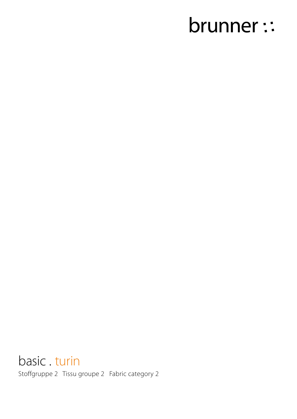# brunner ::

basic . turin Stoffgruppe 2 Tissu groupe 2 Fabric category 2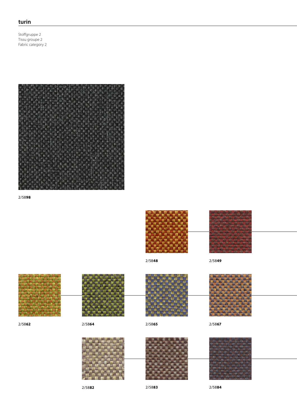## **turin**

Stoffgruppe 2 Tissu groupe 2 Fabric category 2



2/58**98**



2/58**48** 2/58**49**



2/58**82** 2/58**84**

2/58**83**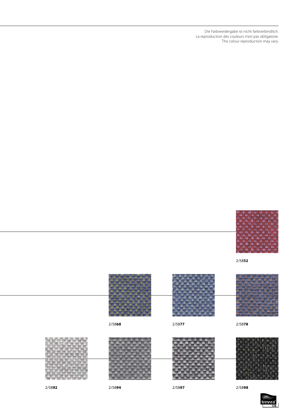Die Farbwiedergabe ist nicht farbverbindlich. La reproduction des couleurs n'est pas obligatoire. The colour reproduction may vary.



2/58**52**